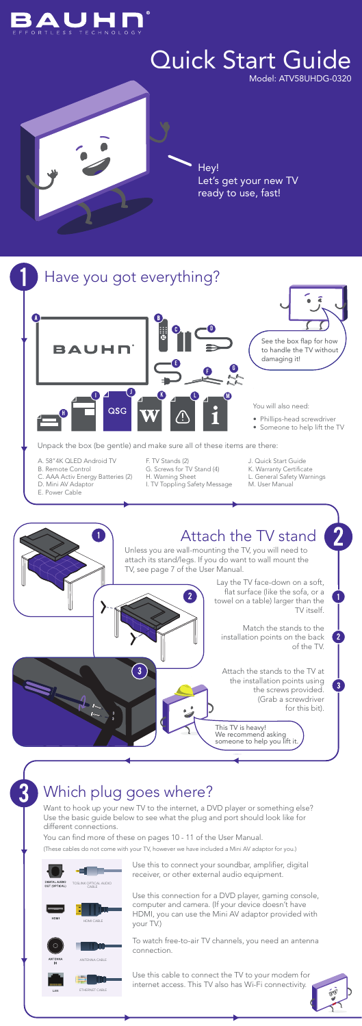## Which plug goes where?

Hey! Let's get your new TV ready to use, fast!



# Quick Start Guide

Model: ATV58UHDG-0320

Use this to connect your soundbar, amplifier, digital receiver, or other external audio equipment.

Use this connection for a DVD player, gaming console, computer and camera. (If your device doesn't have HDMI, you can use the Mini AV adaptor provided with your TV.)

To watch free-to-air TV channels, you need an antenna connection.

Use this cable to connect the TV to your modem for internet access. This TV also has Wi-Fi connectivity.







Want to hook up your new TV to the internet, a DVD player or something else? Use the basic guide below to see what the plug and port should look like for different connections.

You can find more of these on pages 10 - 11 of the User Manual.

(These cables do not come with your TV, however we have included a Mini AV adaptor for you.)